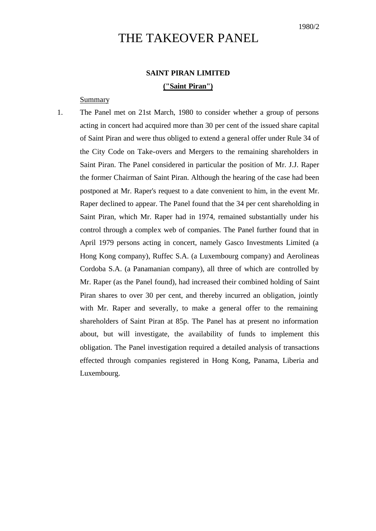# THE TAKEOVER PANEL

## **SAINT PIRAN LIMITED ("Saint Piran")**

### **Summary**

1. The Panel met on 21st March, 1980 to consider whether a group of persons acting in concert had acquired more than 30 per cent of the issued share capital of Saint Piran and were thus obliged to extend a general offer under Rule 34 of the City Code on Take-overs and Mergers to the remaining shareholders in Saint Piran. The Panel considered in particular the position of Mr. J.J. Raper the former Chairman of Saint Piran. Although the hearing of the case had been postponed at Mr. Raper's request to a date convenient to him, in the event Mr. Raper declined to appear. The Panel found that the 34 per cent shareholding in Saint Piran, which Mr. Raper had in 1974, remained substantially under his control through a complex web of companies. The Panel further found that in April 1979 persons acting in concert, namely Gasco Investments Limited (a Hong Kong company), Ruffec S.A. (a Luxembourg company) and Aerolineas Cordoba S.A. (a Panamanian company), all three of which are controlled by Mr. Raper (as the Panel found), had increased their combined holding of Saint Piran shares to over 30 per cent, and thereby incurred an obligation, jointly with Mr. Raper and severally, to make a general offer to the remaining shareholders of Saint Piran at 85p. The Panel has at present no information about, but will investigate, the availability of funds to implement this obligation. The Panel investigation required a detailed analysis of transactions effected through companies registered in Hong Kong, Panama, Liberia and Luxembourg.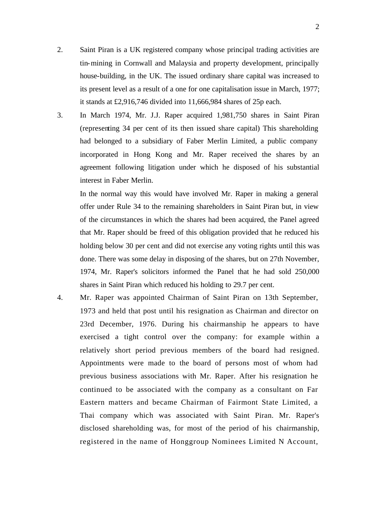- 2. Saint Piran is a UK registered company whose principal trading activities are tin-mining in Cornwall and Malaysia and property development, principally house-building, in the UK. The issued ordinary share capital was increased to its present level as a result of a one for one capitalisation issue in March, 1977; it stands at £2,916,746 divided into 11,666,984 shares of 25p each.
- 3. In March 1974, Mr. J.J. Raper acquired 1,981,750 shares in Saint Piran (representing 34 per cent of its then issued share capital) This shareholding had belonged to a subsidiary of Faber Merlin Limited, a public company incorporated in Hong Kong and Mr. Raper received the shares by an agreement following litigation under which he disposed of his substantial interest in Faber Merlin.

In the normal way this would have involved Mr. Raper in making a general offer under Rule 34 to the remaining shareholders in Saint Piran but, in view of the circumstances in which the shares had been acquired, the Panel agreed that Mr. Raper should be freed of this obligation provided that he reduced his holding below 30 per cent and did not exercise any voting rights until this was done. There was some delay in disposing of the shares, but on 27th November, 1974, Mr. Raper's solicitors informed the Panel that he had sold 250,000 shares in Saint Piran which reduced his holding to 29.7 per cent.

4. Mr. Raper was appointed Chairman of Saint Piran on 13th September, 1973 and held that post until his resignation as Chairman and director on 23rd December, 1976. During his chairmanship he appears to have exercised a tight control over the company: for example within a relatively short period previous members of the board had resigned. Appointments were made to the board of persons most of whom had previous business associations with Mr. Raper. After his resignation he continued to be associated with the company as a consultant on Far Eastern matters and became Chairman of Fairmont State Limited, a Thai company which was associated with Saint Piran. Mr. Raper's disclosed shareholding was, for most of the period of his chairmanship, registered in the name of Honggroup Nominees Limited N Account,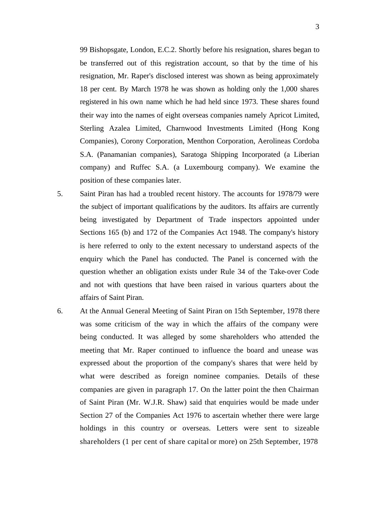99 Bishopsgate, London, E.C.2. Shortly before his resignation, shares began to be transferred out of this registration account, so that by the time of his resignation, Mr. Raper's disclosed interest was shown as being approximately 18 per cent. By March 1978 he was shown as holding only the 1,000 shares registered in his own name which he had held since 1973. These shares found their way into the names of eight overseas companies namely Apricot Limited, Sterling Azalea Limited, Charnwood Investments Limited (Hong Kong Companies), Corony Corporation, Menthon Corporation, Aerolineas Cordoba S.A. (Panamanian companies), Saratoga Shipping Incorporated (a Liberian company) and Ruffec S.A. (a Luxembourg company). We examine the position of these companies later.

- 5. Saint Piran has had a troubled recent history. The accounts for 1978/79 were the subject of important qualifications by the auditors. Its affairs are currently being investigated by Department of Trade inspectors appointed under Sections 165 (b) and 172 of the Companies Act 1948. The company's history is here referred to only to the extent necessary to understand aspects of the enquiry which the Panel has conducted. The Panel is concerned with the question whether an obligation exists under Rule 34 of the Take-over Code and not with questions that have been raised in various quarters about the affairs of Saint Piran.
- 6. At the Annual General Meeting of Saint Piran on 15th September, 1978 there was some criticism of the way in which the affairs of the company were being conducted. It was alleged by some shareholders who attended the meeting that Mr. Raper continued to influence the board and unease was expressed about the proportion of the company's shares that were held by what were described as foreign nominee companies. Details of these companies are given in paragraph 17. On the latter point the then Chairman of Saint Piran (Mr. W.J.R. Shaw) said that enquiries would be made under Section 27 of the Companies Act 1976 to ascertain whether there were large holdings in this country or overseas. Letters were sent to sizeable shareholders (1 per cent of share capital or more) on 25th September, 1978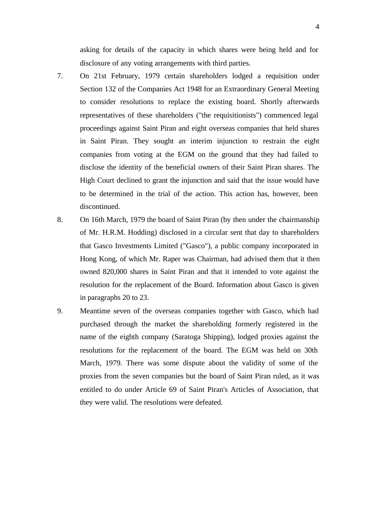asking for details of the capacity in which shares were being held and for disclosure of any voting arrangements with third parties.

- 7. On 21st February, 1979 certain shareholders lodged a requisition under Section 132 of the Companies Act 1948 for an Extraordinary General Meeting to consider resolutions to replace the existing board. Shortly afterwards representatives of these shareholders ("the requisitionists") commenced legal proceedings against Saint Piran and eight overseas companies that held shares in Saint Piran. They sought an interim injunction to restrain the eight companies from voting at the EGM on the ground that they had failed to disclose the identity of the beneficial owners of their Saint Piran shares. The High Court declined to grant the injunction and said that the issue would have to be determined in the trial of the action. This action has, however, been discontinued.
- 8. On 16th March, 1979 the board of Saint Piran (by then under the chairmanship of Mr. H.R.M. Hodding) disclosed in a circular sent that day to shareholders that Gasco Investments Limited ("Gasco"), a public company incorporated in Hong Kong, of which Mr. Raper was Chairman, had advised them that it then owned 820,000 shares in Saint Piran and that it intended to vote against the resolution for the replacement of the Board. Information about Gasco is given in paragraphs 20 to 23.
- 9. Meantime seven of the overseas companies together with Gasco, which had purchased through the market the shareholding formerly registered in the name of the eighth company (Saratoga Shipping), lodged proxies against the resolutions for the replacement of the board. The EGM was held on 30th March, 1979. There was some dispute about the validity of some of the proxies from the seven companies but the board of Saint Piran ruled, as it was entitled to do under Article 69 of Saint Piran's Articles of Association, that they were valid. The resolutions were defeated.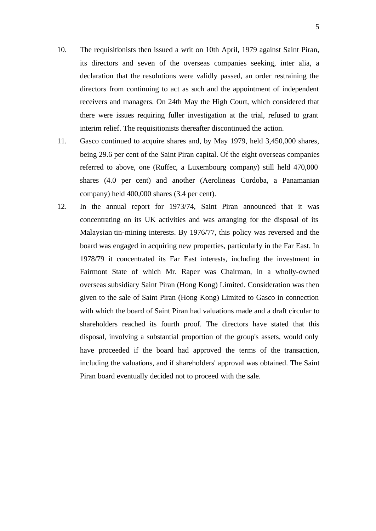- 10. The requisitionists then issued a writ on 10th April, 1979 against Saint Piran, its directors and seven of the overseas companies seeking, inter alia, a declaration that the resolutions were validly passed, an order restraining the directors from continuing to act as such and the appointment of independent receivers and managers. On 24th May the High Court, which considered that there were issues requiring fuller investigation at the trial, refused to grant interim relief. The requisitionists thereafter discontinued the action.
- 11. Gasco continued to acquire shares and, by May 1979, held 3,450,000 shares, being 29.6 per cent of the Saint Piran capital. Of the eight overseas companies referred to above, one (Ruffec, a Luxembourg company) still held 470,000 shares (4.0 per cent) and another (Aerolineas Cordoba, a Panamanian company) held 400,000 shares (3.4 per cent).
- 12. In the annual report for 1973/74, Saint Piran announced that it was concentrating on its UK activities and was arranging for the disposal of its Malaysian tin-mining interests. By 1976/77, this policy was reversed and the board was engaged in acquiring new properties, particularly in the Far East. In 1978/79 it concentrated its Far East interests, including the investment in Fairmont State of which Mr. Raper was Chairman, in a wholly-owned overseas subsidiary Saint Piran (Hong Kong) Limited. Consideration was then given to the sale of Saint Piran (Hong Kong) Limited to Gasco in connection with which the board of Saint Piran had valuations made and a draft circular to shareholders reached its fourth proof. The directors have stated that this disposal, involving a substantial proportion of the group's assets, would only have proceeded if the board had approved the terms of the transaction, including the valuations, and if shareholders' approval was obtained. The Saint Piran board eventually decided not to proceed with the sale.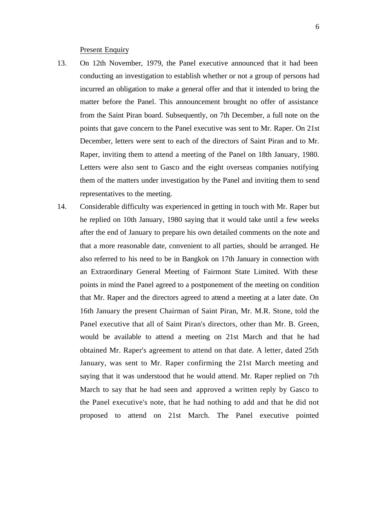#### Present Enquiry

- 13. On 12th November, 1979, the Panel executive announced that it had been conducting an investigation to establish whether or not a group of persons had incurred an obligation to make a general offer and that it intended to bring the matter before the Panel. This announcement brought no offer of assistance from the Saint Piran board. Subsequently, on 7th December, a full note on the points that gave concern to the Panel executive was sent to Mr. Raper. On 21st December, letters were sent to each of the directors of Saint Piran and to Mr. Raper, inviting them to attend a meeting of the Panel on 18th January, 1980. Letters were also sent to Gasco and the eight overseas companies notifying them of the matters under investigation by the Panel and inviting them to send representatives to the meeting.
- 14. Considerable difficulty was experienced in getting in touch with Mr. Raper but he replied on 10th January, 1980 saying that it would take until a few weeks after the end of January to prepare his own detailed comments on the note and that a more reasonable date, convenient to all parties, should be arranged. He also referred to his need to be in Bangkok on 17th January in connection with an Extraordinary General Meeting of Fairmont State Limited. With these points in mind the Panel agreed to a postponement of the meeting on condition that Mr. Raper and the directors agreed to attend a meeting at a later date. On 16th January the present Chairman of Saint Piran, Mr. M.R. Stone, told the Panel executive that all of Saint Piran's directors, other than Mr. B. Green, would be available to attend a meeting on 21st March and that he had obtained Mr. Raper's agreement to attend on that date. A letter, dated 25th January, was sent to Mr. Raper confirming the 21st March meeting and saying that it was understood that he would attend. Mr. Raper replied on 7th March to say that he had seen and approved a written reply by Gasco to the Panel executive's note, that he had nothing to add and that he did not proposed to attend on 21st March. The Panel executive pointed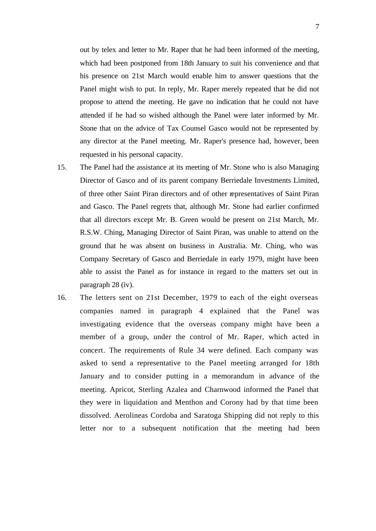out by telex and letter to Mr. Raper that he had been informed of the meeting, which had been postponed from 18th January to suit his convenience and that his presence on 21st March would enable him to answer questions that the Panel might wish to put. In reply, Mr. Raper merely repeated that he did not propose to attend the meeting. He gave no indication that he could not have attended if he had so wished although the Panel were later informed by Mr. Stone that on the advice of Tax Counsel Gasco would not be represented by any director at the Panel meeting. Mr. Raper's presence had, however, been requested in his personal capacity.

- 15. The Panel had the assistance at its meeting of Mr. Stone who is also Managing Director of Gasco and of its parent company Berriedale Investments Limited, of three other Saint Piran directors and of other representatives of Saint Piran and Gasco. The Panel regrets that, although Mr. Stone had earlier confirmed that all directors except Mr. B. Green would be present on 21st March, Mr. R.S.W. Ching, Managing Director of Saint Piran, was unable to attend on the ground that he was absent on business in Australia. Mr. Ching, who was Company Secretary of Gasco and Berriedale in early 1979, might have been able to assist the Panel as for instance in regard to the matters set out in paragraph 28 (iv).
- 16. The letters sent on 21st December, 1979 to each of the eight overseas companies named in paragraph 4 explained that the Panel was investigating evidence that the overseas company might have been a member of a group, under the control of Mr. Raper, which acted in concert. The requirements of Rule 34 were defined. Each company was asked to send a representative to the Panel meeting arranged for 18th January and to consider putting in a memorandum in advance of the meeting. Apricot, Sterling Azalea and Charnwood informed the Panel that they were in liquidation and Menthon and Corony had by that time been dissolved. Aerolineas Cordoba and Saratoga Shipping did not reply to this letter nor to a subsequent notification that the meeting had been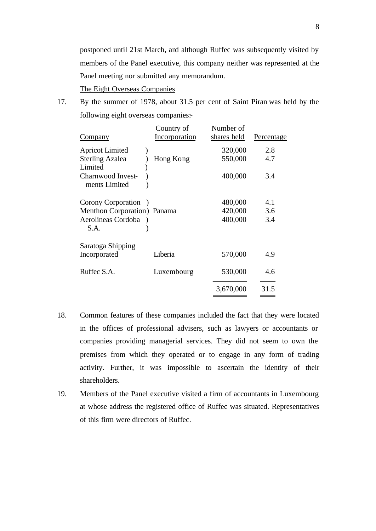postponed until 21st March, and although Ruffec was subsequently visited by members of the Panel executive, this company neither was represented at the Panel meeting nor submitted any memorandum.

The Eight Overseas Companies

17. By the summer of 1978, about 31.5 per cent of Saint Piran was held by the following eight overseas companies:-

| Company                                                                                           | Country of<br>Incorporation | Number of<br>shares held      | Percentage        |
|---------------------------------------------------------------------------------------------------|-----------------------------|-------------------------------|-------------------|
| <b>Apricot Limited</b><br><b>Sterling Azalea</b><br>Limited<br>Charnwood Invest-<br>ments Limited | Hong Kong                   | 320,000<br>550,000<br>400,000 | 2.8<br>4.7<br>3.4 |
| Corony Corporation<br>Menthon Corporation) Panama<br>Aerolineas Cordoba<br>S.A.                   |                             | 480,000<br>420,000<br>400,000 | 4.1<br>3.6<br>3.4 |
| Saratoga Shipping<br>Incorporated                                                                 | Liberia                     | 570,000                       | 4.9               |
| Ruffec S.A.                                                                                       | Luxembourg                  | 530,000                       | 4.6               |
|                                                                                                   |                             | 3,670,000                     | 31.5              |

- 18. Common features of these companies included the fact that they were located in the offices of professional advisers, such as lawyers or accountants or companies providing managerial services. They did not seem to own the premises from which they operated or to engage in any form of trading activity. Further, it was impossible to ascertain the identity of their shareholders.
- 19. Members of the Panel executive visited a firm of accountants in Luxembourg at whose address the registered office of Ruffec was situated. Representatives of this firm were directors of Ruffec.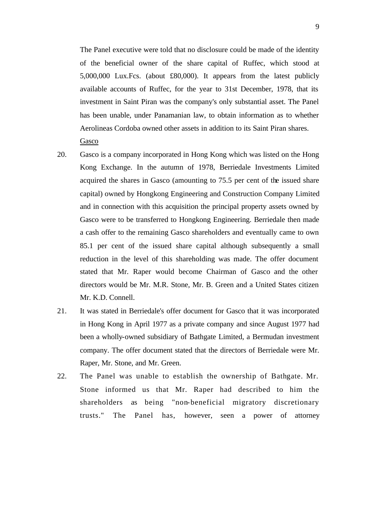The Panel executive were told that no disclosure could be made of the identity of the beneficial owner of the share capital of Ruffec, which stood at 5,000,000 Lux.Fcs. (about £80,000). It appears from the latest publicly available accounts of Ruffec, for the year to 31st December, 1978, that its investment in Saint Piran was the company's only substantial asset. The Panel has been unable, under Panamanian law, to obtain information as to whether Aerolineas Cordoba owned other assets in addition to its Saint Piran shares. Gasco

- 20. Gasco is a company incorporated in Hong Kong which was listed on the Hong Kong Exchange. In the autumn of 1978, Berriedale Investments Limited acquired the shares in Gasco (amounting to 75.5 per cent of the issued share capital) owned by Hongkong Engineering and Construction Company Limited and in connection with this acquisition the principal property assets owned by Gasco were to be transferred to Hongkong Engineering. Berriedale then made a cash offer to the remaining Gasco shareholders and eventually came to own 85.1 per cent of the issued share capital although subsequently a small reduction in the level of this shareholding was made. The offer document stated that Mr. Raper would become Chairman of Gasco and the other directors would be Mr. M.R. Stone, Mr. B. Green and a United States citizen Mr. K.D. Connell.
- 21. It was stated in Berriedale's offer document for Gasco that it was incorporated in Hong Kong in April 1977 as a private company and since August 1977 had been a wholly-owned subsidiary of Bathgate Limited, a Bermudan investment company. The offer document stated that the directors of Berriedale were Mr. Raper, Mr. Stone, and Mr. Green.
- 22. The Panel was unable to establish the ownership of Bathgate. Mr. Stone informed us that Mr. Raper had described to him the shareholders as being "non-beneficial migratory discretionary trusts." The Panel has, however, seen a power of attorney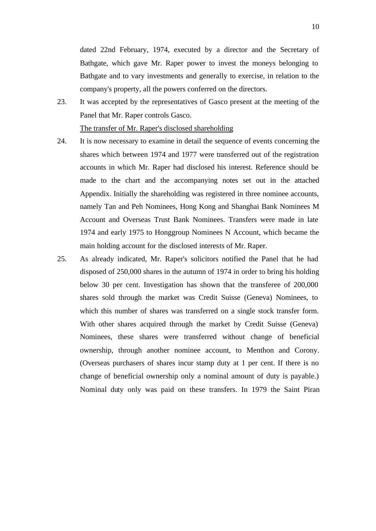dated 22nd February, 1974, executed by a director and the Secretary of Bathgate, which gave Mr. Raper power to invest the moneys belonging to Bathgate and to vary investments and generally to exercise, in relation to the company's property, all the powers conferred on the directors.

23. It was accepted by the representatives of Gasco present at the meeting of the Panel that Mr. Raper controls Gasco.

The transfer of Mr. Raper's disclosed shareholding

- 24. It is now necessary to examine in detail the sequence of events concerning the shares which between 1974 and 1977 were transferred out of the registration accounts in which Mr. Raper had disclosed his interest. Reference should be made to the chart and the accompanying notes set out in the attached Appendix. Initially the shareholding was registered in three nominee accounts, namely Tan and Peh Nominees, Hong Kong and Shanghai Bank Nominees M Account and Overseas Trust Bank Nominees. Transfers were made in late 1974 and early 1975 to Honggroup Nominees N Account, which became the main holding account for the disclosed interests of Mr. Raper.
- 25. As already indicated, Mr. Raper's solicitors notified the Panel that he had disposed of 250,000 shares in the autumn of 1974 in order to bring his holding below 30 per cent. Investigation has shown that the transferee of 200,000 shares sold through the market was Credit Suisse (Geneva) Nominees, to which this number of shares was transferred on a single stock transfer form. With other shares acquired through the market by Credit Suisse (Geneva) Nominees, these shares were transferred without change of beneficial ownership, through another nominee account, to Menthon and Corony. (Overseas purchasers of shares incur stamp duty at 1 per cent. If there is no change of beneficial ownership only a nominal amount of duty is payable.) Nominal duty only was paid on these transfers. In 1979 the Saint Piran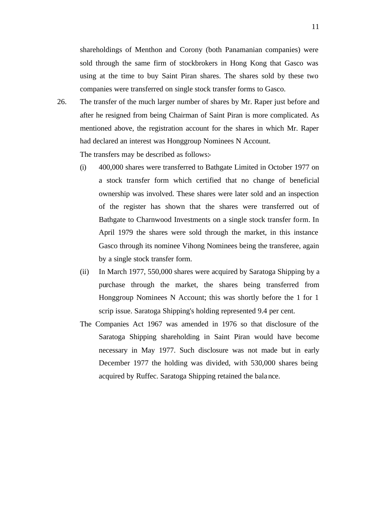shareholdings of Menthon and Corony (both Panamanian companies) were sold through the same firm of stockbrokers in Hong Kong that Gasco was using at the time to buy Saint Piran shares. The shares sold by these two companies were transferred on single stock transfer forms to Gasco.

26. The transfer of the much larger number of shares by Mr. Raper just before and after he resigned from being Chairman of Saint Piran is more complicated. As mentioned above, the registration account for the shares in which Mr. Raper had declared an interest was Honggroup Nominees N Account.

The transfers may be described as follows:-

- (i) 400,000 shares were transferred to Bathgate Limited in October 1977 on a stock transfer form which certified that no change of beneficial ownership was involved. These shares were later sold and an inspection of the register has shown that the shares were transferred out of Bathgate to Charnwood Investments on a single stock transfer form. In April 1979 the shares were sold through the market, in this instance Gasco through its nominee Vihong Nominees being the transferee, again by a single stock transfer form.
- (ii) In March 1977, 550,000 shares were acquired by Saratoga Shipping by a purchase through the market, the shares being transferred from Honggroup Nominees N Account; this was shortly before the 1 for 1 scrip issue. Saratoga Shipping's holding represented 9.4 per cent.
- The Companies Act 1967 was amended in 1976 so that disclosure of the Saratoga Shipping shareholding in Saint Piran would have become necessary in May 1977. Such disclosure was not made but in early December 1977 the holding was divided, with 530,000 shares being acquired by Ruffec. Saratoga Shipping retained the balance.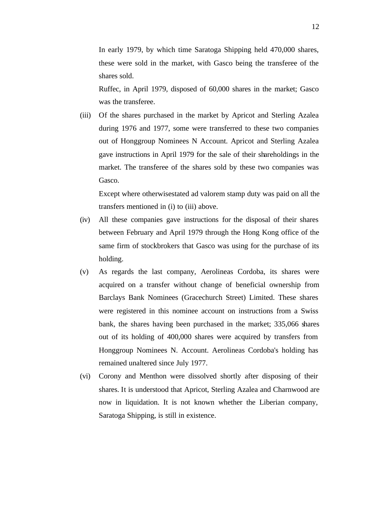In early 1979, by which time Saratoga Shipping held 470,000 shares, these were sold in the market, with Gasco being the transferee of the shares sold.

Ruffec, in April 1979, disposed of 60,000 shares in the market; Gasco was the transferee.

(iii) Of the shares purchased in the market by Apricot and Sterling Azalea during 1976 and 1977, some were transferred to these two companies out of Honggroup Nominees N Account. Apricot and Sterling Azalea gave instructions in April 1979 for the sale of their shareholdings in the market. The transferee of the shares sold by these two companies was Gasco.

Except where otherwisestated ad valorem stamp duty was paid on all the transfers mentioned in (i) to (iii) above.

- (iv) All these companies gave instructions for the disposal of their shares between February and April 1979 through the Hong Kong office of the same firm of stockbrokers that Gasco was using for the purchase of its holding.
- (v) As regards the last company, Aerolineas Cordoba, its shares were acquired on a transfer without change of beneficial ownership from Barclays Bank Nominees (Gracechurch Street) Limited. These shares were registered in this nominee account on instructions from a Swiss bank, the shares having been purchased in the market; 335,066 shares out of its holding of 400,000 shares were acquired by transfers from Honggroup Nominees N. Account. Aerolineas Cordoba's holding has remained unaltered since July 1977.
- (vi) Corony and Menthon were dissolved shortly after disposing of their shares. It is understood that Apricot, Sterling Azalea and Charnwood are now in liquidation. It is not known whether the Liberian company, Saratoga Shipping, is still in existence.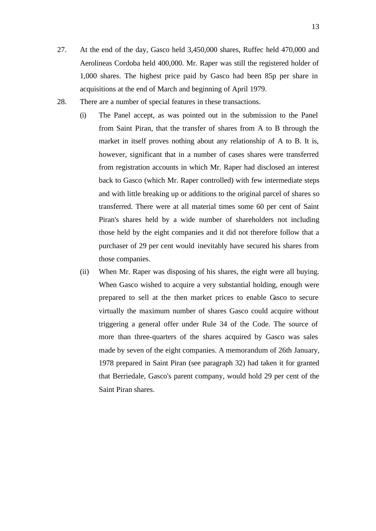- 27. At the end of the day, Gasco held 3,450,000 shares, Ruffec held 470,000 and Aerolineas Cordoba held 400,000. Mr. Raper was still the registered holder of 1,000 shares. The highest price paid by Gasco had been 85p per share in acquisitions at the end of March and beginning of April 1979.
- 28. There are a number of special features in these transactions.
	- (i) The Panel accept, as was pointed out in the submission to the Panel from Saint Piran, that the transfer of shares from A to B through the market in itself proves nothing about any relationship of A to B. It is, however, significant that in a number of cases shares were transferred from registration accounts in which Mr. Raper had disclosed an interest back to Gasco (which Mr. Raper controlled) with few intermediate steps and with little breaking up or additions to the original parcel of shares so transferred. There were at all material times some 60 per cent of Saint Piran's shares held by a wide number of shareholders not including those held by the eight companies and it did not therefore follow that a purchaser of 29 per cent would inevitably have secured his shares from those companies.
	- (ii) When Mr. Raper was disposing of his shares, the eight were all buying. When Gasco wished to acquire a very substantial holding, enough were prepared to sell at the then market prices to enable Gasco to secure virtually the maximum number of shares Gasco could acquire without triggering a general offer under Rule 34 of the Code. The source of more than three-quarters of the shares acquired by Gasco was sales made by seven of the eight companies. A memorandum of 26th January, 1978 prepared in Saint Piran (see paragraph 32) had taken it for granted that Berriedale, Gasco's parent company, would hold 29 per cent of the Saint Piran shares.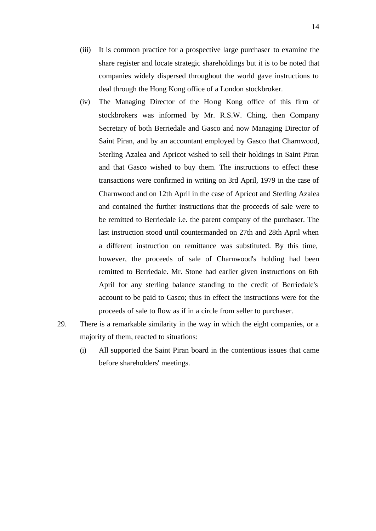- (iii) It is common practice for a prospective large purchaser to examine the share register and locate strategic shareholdings but it is to be noted that companies widely dispersed throughout the world gave instructions to deal through the Hong Kong office of a London stockbroker.
- (iv) The Managing Director of the Hong Kong office of this firm of stockbrokers was informed by Mr. R.S.W. Ching, then Company Secretary of both Berriedale and Gasco and now Managing Director of Saint Piran, and by an accountant employed by Gasco that Charnwood, Sterling Azalea and Apricot wished to sell their holdings in Saint Piran and that Gasco wished to buy them. The instructions to effect these transactions were confirmed in writing on 3rd April, 1979 in the case of Charnwood and on 12th April in the case of Apricot and Sterling Azalea and contained the further instructions that the proceeds of sale were to be remitted to Berriedale i.e. the parent company of the purchaser. The last instruction stood until countermanded on 27th and 28th April when a different instruction on remittance was substituted. By this time, however, the proceeds of sale of Charnwood's holding had been remitted to Berriedale. Mr. Stone had earlier given instructions on 6th April for any sterling balance standing to the credit of Berriedale's account to be paid to Gasco; thus in effect the instructions were for the proceeds of sale to flow as if in a circle from seller to purchaser.
- 29. There is a remarkable similarity in the way in which the eight companies, or a majority of them, reacted to situations:
	- (i) All supported the Saint Piran board in the contentious issues that came before shareholders' meetings.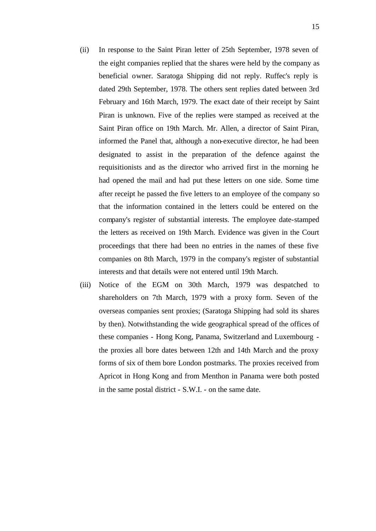- (ii) In response to the Saint Piran letter of 25th September, 1978 seven of the eight companies replied that the shares were held by the company as beneficial owner. Saratoga Shipping did not reply. Ruffec's reply is dated 29th September, 1978. The others sent replies dated between 3rd February and 16th March, 1979. The exact date of their receipt by Saint Piran is unknown. Five of the replies were stamped as received at the Saint Piran office on 19th March. Mr. Allen, a director of Saint Piran, informed the Panel that, although a non-executive director, he had been designated to assist in the preparation of the defence against the requisitionists and as the director who arrived first in the morning he had opened the mail and had put these letters on one side. Some time after receipt he passed the five letters to an employee of the company so that the information contained in the letters could be entered on the company's register of substantial interests. The employee date-stamped the letters as received on 19th March. Evidence was given in the Court proceedings that there had been no entries in the names of these five companies on 8th March, 1979 in the company's register of substantial interests and that details were not entered until 19th March.
- (iii) Notice of the EGM on 30th March, 1979 was despatched to shareholders on 7th March, 1979 with a proxy form. Seven of the overseas companies sent proxies; (Saratoga Shipping had sold its shares by then). Notwithstanding the wide geographical spread of the offices of these companies - Hong Kong, Panama, Switzerland and Luxembourg the proxies all bore dates between 12th and 14th March and the proxy forms of six of them bore London postmarks. The proxies received from Apricot in Hong Kong and from Menthon in Panama were both posted in the same postal district - S.W.I. - on the same date.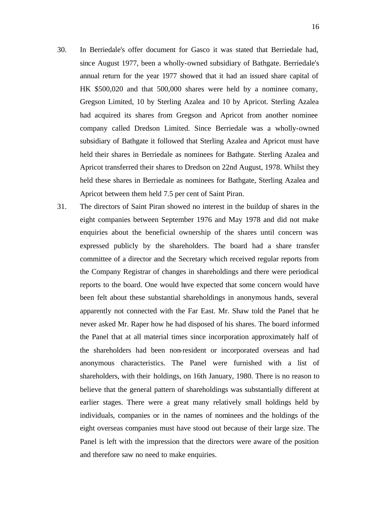- 30. In Berriedale's offer document for Gasco it was stated that Berriedale had, since August 1977, been a wholly-owned subsidiary of Bathgate. Berriedale's annual return for the year 1977 showed that it had an issued share capital of HK \$500,020 and that 500,000 shares were held by a nominee comany, Gregson Limited, 10 by Sterling Azalea and 10 by Apricot. Sterling Azalea had acquired its shares from Gregson and Apricot from another nominee company called Dredson Limited. Since Berriedale was a wholly-owned subsidiary of Bathgate it followed that Sterling Azalea and Apricot must have held their shares in Berriedale as nominees for Bathgate. Sterling Azalea and Apricot transferred their shares to Dredson on 22nd August, 1978. Whilst they held these shares in Berriedale as nominees for Bathgate, Sterling Azalea and Apricot between them held 7.5 per cent of Saint Piran.
- 31. The directors of Saint Piran showed no interest in the buildup of shares in the eight companies between September 1976 and May 1978 and did not make enquiries about the beneficial ownership of the shares until concern was expressed publicly by the shareholders. The board had a share transfer committee of a director and the Secretary which received regular reports from the Company Registrar of changes in shareholdings and there were periodical reports to the board. One would have expected that some concern would have been felt about these substantial shareholdings in anonymous hands, several apparently not connected with the Far East. Mr. Shaw told the Panel that he never asked Mr. Raper how he had disposed of his shares. The board informed the Panel that at all material times since incorporation approximately half of the shareholders had been non-resident or incorporated overseas and had anonymous characteristics. The Panel were furnished with a list of shareholders, with their holdings, on 16th January, 1980. There is no reason to believe that the general pattern of shareholdings was substantially different at earlier stages. There were a great many relatively small holdings held by individuals, companies or in the names of nominees and the holdings of the eight overseas companies must have stood out because of their large size. The Panel is left with the impression that the directors were aware of the position and therefore saw no need to make enquiries.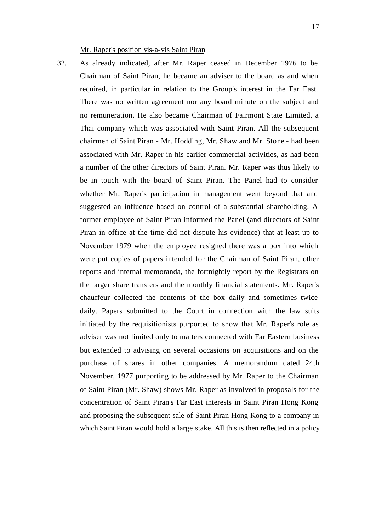32. As already indicated, after Mr. Raper ceased in December 1976 to be Chairman of Saint Piran, he became an adviser to the board as and when required, in particular in relation to the Group's interest in the Far East. There was no written agreement nor any board minute on the subject and no remuneration. He also became Chairman of Fairmont State Limited, a Thai company which was associated with Saint Piran. All the subsequent chairmen of Saint Piran - Mr. Hodding, Mr. Shaw and Mr. Stone - had been associated with Mr. Raper in his earlier commercial activities, as had been a number of the other directors of Saint Piran. Mr. Raper was thus likely to be in touch with the board of Saint Piran. The Panel had to consider whether Mr. Raper's participation in management went beyond that and suggested an influence based on control of a substantial shareholding. A former employee of Saint Piran informed the Panel (and directors of Saint Piran in office at the time did not dispute his evidence) that at least up to November 1979 when the employee resigned there was a box into which were put copies of papers intended for the Chairman of Saint Piran, other reports and internal memoranda, the fortnightly report by the Registrars on the larger share transfers and the monthly financial statements. Mr. Raper's chauffeur collected the contents of the box daily and sometimes twice daily. Papers submitted to the Court in connection with the law suits initiated by the requisitionists purported to show that Mr. Raper's role as adviser was not limited only to matters connected with Far Eastern business but extended to advising on several occasions on acquisitions and on the purchase of shares in other companies. A memorandum dated 24th November, 1977 purporting to be addressed by Mr. Raper to the Chairman of Saint Piran (Mr. Shaw) shows Mr. Raper as involved in proposals for the concentration of Saint Piran's Far East interests in Saint Piran Hong Kong and proposing the subsequent sale of Saint Piran Hong Kong to a company in which Saint Piran would hold a large stake. All this is then reflected in a policy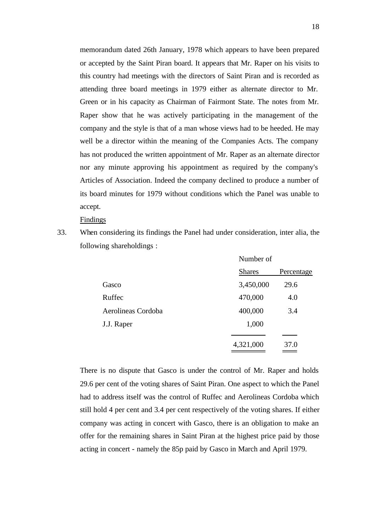memorandum dated 26th January, 1978 which appears to have been prepared or accepted by the Saint Piran board. It appears that Mr. Raper on his visits to this country had meetings with the directors of Saint Piran and is recorded as attending three board meetings in 1979 either as alternate director to Mr. Green or in his capacity as Chairman of Fairmont State. The notes from Mr. Raper show that he was actively participating in the management of the company and the style is that of a man whose views had to be heeded. He may well be a director within the meaning of the Companies Acts. The company has not produced the written appointment of Mr. Raper as an alternate director nor any minute approving his appointment as required by the company's Articles of Association. Indeed the company declined to produce a number of its board minutes for 1979 without conditions which the Panel was unable to accept.

Findings

33. When considering its findings the Panel had under consideration, inter alia, the following shareholdings :

|                    | Number of     |            |
|--------------------|---------------|------------|
|                    | <b>Shares</b> | Percentage |
| Gasco              | 3,450,000     | 29.6       |
| Ruffec             | 470,000       | 4.0        |
| Aerolineas Cordoba | 400,000       | 3.4        |
| J.J. Raper         | 1,000         |            |
|                    |               |            |
|                    | 4,321,000     | 37.0       |
|                    |               |            |

 $N<sub>L</sub>$  of  $\alpha$ 

There is no dispute that Gasco is under the control of Mr. Raper and holds 29.6 per cent of the voting shares of Saint Piran. One aspect to which the Panel had to address itself was the control of Ruffec and Aerolineas Cordoba which still hold 4 per cent and 3.4 per cent respectively of the voting shares. If either company was acting in concert with Gasco, there is an obligation to make an offer for the remaining shares in Saint Piran at the highest price paid by those acting in concert - namely the 85p paid by Gasco in March and April 1979.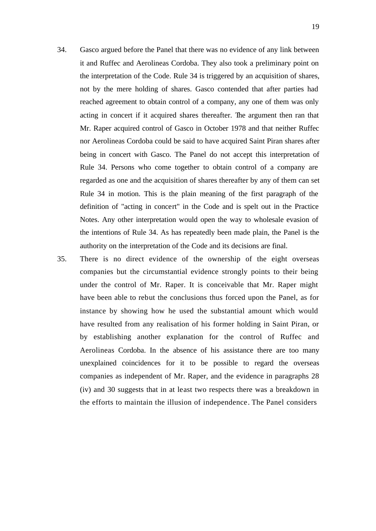- 34. Gasco argued before the Panel that there was no evidence of any link between it and Ruffec and Aerolineas Cordoba. They also took a preliminary point on the interpretation of the Code. Rule 34 is triggered by an acquisition of shares, not by the mere holding of shares. Gasco contended that after parties had reached agreement to obtain control of a company, any one of them was only acting in concert if it acquired shares thereafter. The argument then ran that Mr. Raper acquired control of Gasco in October 1978 and that neither Ruffec nor Aerolineas Cordoba could be said to have acquired Saint Piran shares after being in concert with Gasco. The Panel do not accept this interpretation of Rule 34. Persons who come together to obtain control of a company are regarded as one and the acquisition of shares thereafter by any of them can set Rule 34 in motion. This is the plain meaning of the first paragraph of the definition of "acting in concert" in the Code and is spelt out in the Practice Notes. Any other interpretation would open the way to wholesale evasion of the intentions of Rule 34. As has repeatedly been made plain, the Panel is the authority on the interpretation of the Code and its decisions are final.
- 35. There is no direct evidence of the ownership of the eight overseas companies but the circumstantial evidence strongly points to their being under the control of Mr. Raper. It is conceivable that Mr. Raper might have been able to rebut the conclusions thus forced upon the Panel, as for instance by showing how he used the substantial amount which would have resulted from any realisation of his former holding in Saint Piran, or by establishing another explanation for the control of Ruffec and Aerolineas Cordoba. In the absence of his assistance there are too many unexplained coincidences for it to be possible to regard the overseas companies as independent of Mr. Raper, and the evidence in paragraphs 28 (iv) and 30 suggests that in at least two respects there was a breakdown in the efforts to maintain the illusion of independence. The Panel considers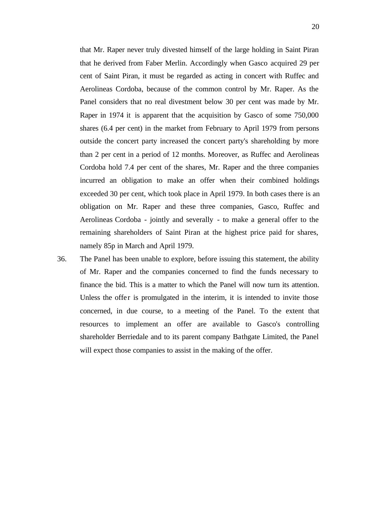that Mr. Raper never truly divested himself of the large holding in Saint Piran that he derived from Faber Merlin. Accordingly when Gasco acquired 29 per cent of Saint Piran, it must be regarded as acting in concert with Ruffec and Aerolineas Cordoba, because of the common control by Mr. Raper. As the Panel considers that no real divestment below 30 per cent was made by Mr. Raper in 1974 it is apparent that the acquisition by Gasco of some 750,000 shares (6.4 per cent) in the market from February to April 1979 from persons outside the concert party increased the concert party's shareholding by more than 2 per cent in a period of 12 months. Moreover, as Ruffec and Aerolineas Cordoba hold 7.4 per cent of the shares, Mr. Raper and the three companies incurred an obligation to make an offer when their combined holdings exceeded 30 per cent, which took place in April 1979. In both cases there is an obligation on Mr. Raper and these three companies, Gasco, Ruffec and Aerolineas Cordoba - jointly and severally - to make a general offer to the remaining shareholders of Saint Piran at the highest price paid for shares, namely 85p in March and April 1979.

36. The Panel has been unable to explore, before issuing this statement, the ability of Mr. Raper and the companies concerned to find the funds necessary to finance the bid. This is a matter to which the Panel will now turn its attention. Unless the offer is promulgated in the interim, it is intended to invite those concerned, in due course, to a meeting of the Panel. To the extent that resources to implement an offer are available to Gasco's controlling shareholder Berriedale and to its parent company Bathgate Limited, the Panel will expect those companies to assist in the making of the offer.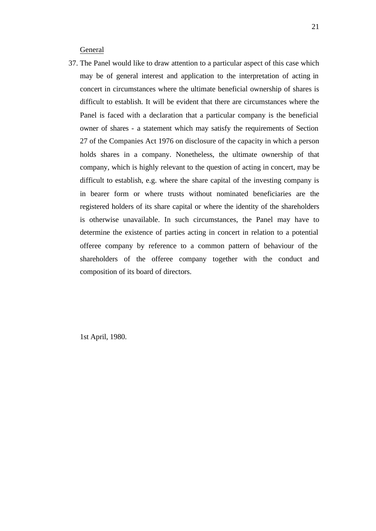General

37. The Panel would like to draw attention to a particular aspect of this case which may be of general interest and application to the interpretation of acting in concert in circumstances where the ultimate beneficial ownership of shares is difficult to establish. It will be evident that there are circumstances where the Panel is faced with a declaration that a particular company is the beneficial owner of shares - a statement which may satisfy the requirements of Section 27 of the Companies Act 1976 on disclosure of the capacity in which a person holds shares in a company. Nonetheless, the ultimate ownership of that company, which is highly relevant to the question of acting in concert, may be difficult to establish, e.g. where the share capital of the investing company is in bearer form or where trusts without nominated beneficiaries are the registered holders of its share capital or where the identity of the shareholders is otherwise unavailable. In such circumstances, the Panel may have to determine the existence of parties acting in concert in relation to a potential offeree company by reference to a common pattern of behaviour of the shareholders of the offeree company together with the conduct and composition of its board of directors.

1st April, 1980.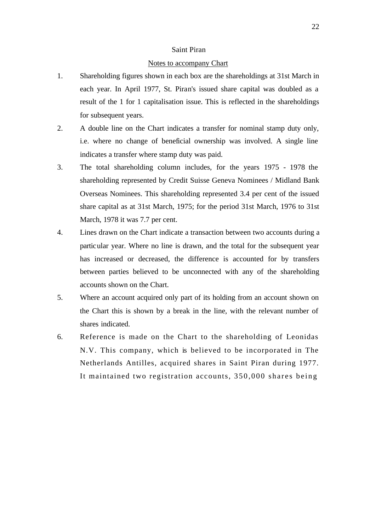#### Saint Piran

#### Notes to accompany Chart

- 1. Shareholding figures shown in each box are the shareholdings at 31st March in each year. In April 1977, St. Piran's issued share capital was doubled as a result of the 1 for 1 capitalisation issue. This is reflected in the shareholdings for subsequent years.
- 2. A double line on the Chart indicates a transfer for nominal stamp duty only, i.e. where no change of beneficial ownership was involved. A single line indicates a transfer where stamp duty was paid.
- 3. The total shareholding column includes, for the years 1975 1978 the shareholding represented by Credit Suisse Geneva Nominees / Midland Bank Overseas Nominees. This shareholding represented 3.4 per cent of the issued share capital as at 31st March, 1975; for the period 31st March, 1976 to 31st March, 1978 it was 7.7 per cent.
- 4. Lines drawn on the Chart indicate a transaction between two accounts during a particular year. Where no line is drawn, and the total for the subsequent year has increased or decreased, the difference is accounted for by transfers between parties believed to be unconnected with any of the shareholding accounts shown on the Chart.
- 5. Where an account acquired only part of its holding from an account shown on the Chart this is shown by a break in the line, with the relevant number of shares indicated.
- 6. Reference is made on the Chart to the shareholding of Leonidas N.V. This company, which is believed to be incorporated in The Netherlands Antilles, acquired shares in Saint Piran during 1977. It maintained two registration accounts, 350,000 shares being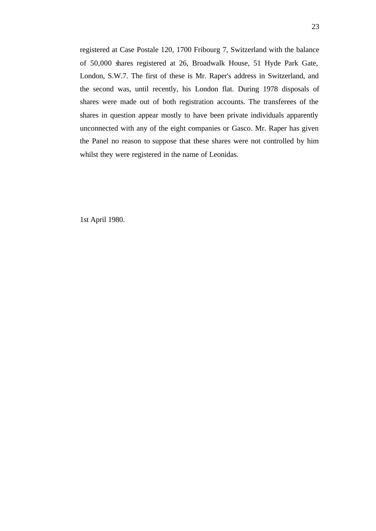registered at Case Postale 120, 1700 Fribourg 7, Switzerland with the balance of 50,000 shares registered at 26, Broadwalk House, 51 Hyde Park Gate, London, S.W.7. The first of these is Mr. Raper's address in Switzerland, and the second was, until recently, his London flat. During 1978 disposals of shares were made out of both registration accounts. The transferees of the shares in question appear mostly to have been private individuals apparently unconnected with any of the eight companies or Gasco. Mr. Raper has given the Panel no reason to suppose that these shares were not controlled by him whilst they were registered in the name of Leonidas.

1st April 1980.